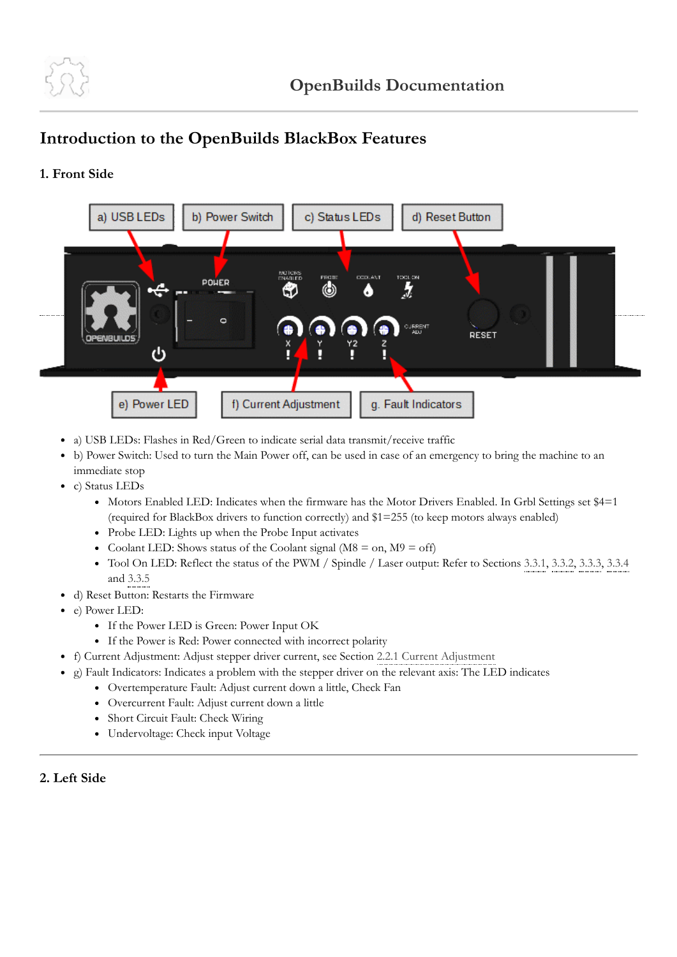

## **Introduction to the OpenBuilds BlackBox Features**

## **1. Front Side**



- a) USB LEDs: Flashes in Red/Green to indicate serial data transmit/receive traffic
- b) Power Switch: Used to turn the Main Power off, can be used in case of an emergency to bring the machine to an immediate stop
- c) Status LEDs
	- Motors Enabled LED: Indicates when the firmware has the Motor Drivers Enabled. In Grbl Settings set \$4=1 (required for BlackBox drivers to function correctly) and \$1=255 (to keep motors always enabled)
	- Probe LED: Lights up when the Probe Input activates
	- Coolant LED: Shows status of the Coolant signal ( $M8 = on$ ,  $M9 = off$ )
	- Tool On LED: Reflect the status of the PWM / Spindle / Laser output: Refer to Sections [3.3.1](https://docs.openbuilds.com/doku.php?id=docs:blackbox:connect-dewalt-iotrelay), [3.3.2,](https://docs.openbuilds.com/doku.php?id=docs:blackbox:connect-3-wire-laser) [3.3.3,](https://docs.openbuilds.com/doku.php?id=docs:blackbox:connect-4-wire-laser) [3.3.4](https://docs.openbuilds.com/doku.php?id=docs:blackbox:connect-plasma) and [3.3.5](https://docs.openbuilds.com/doku.php?id=docs:blackbox:connect-vfd)
- d) Reset Button: Restarts the Firmware
- e) Power LED:
	- If the Power LED is Green: Power Input OK
	- If the Power is Red: Power connected with incorrect polarity
- f) Current Adjustment: Adjust stepper driver current, see Section [2.2.1 Current Adjustment](https://docs.openbuilds.com/doku.php?id=docs:blackbox:currentadjustment)
- g) Fault Indicators: Indicates a problem with the stepper driver on the relevant axis: The LED indicates
	- Overtemperature Fault: Adjust current down a little, Check Fan
	- Overcurrent Fault: Adjust current down a little
	- Short Circuit Fault: Check Wiring
	- Undervoltage: Check input Voltage

## **2. Left Side**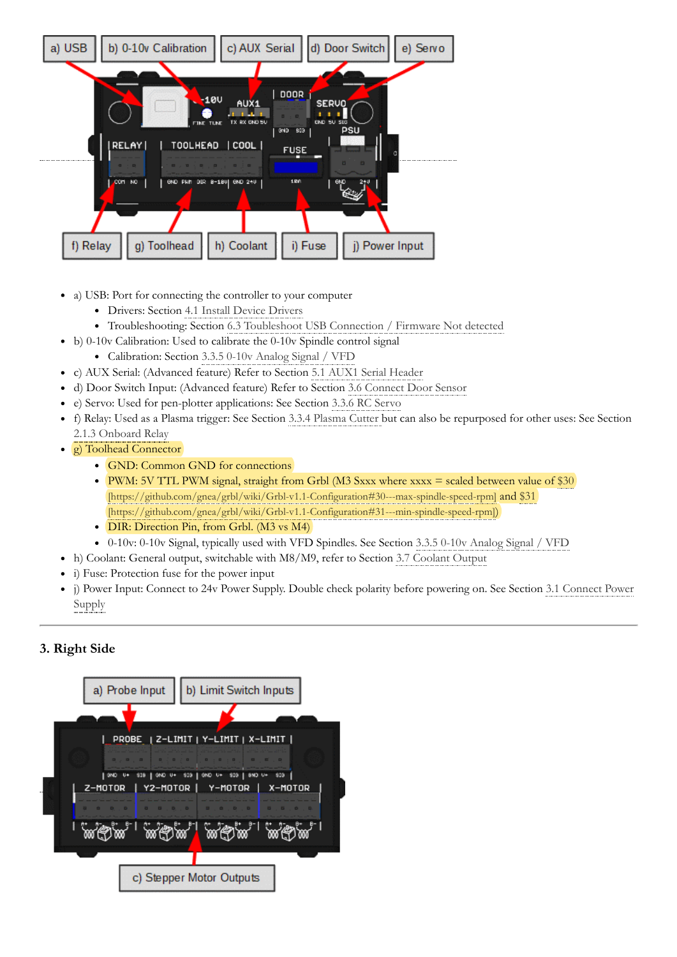

- a) USB: Port for connecting the controller to your computer
	- Drivers: Section [4.1 Install Device Drivers](https://docs.openbuilds.com/doku.php?id=docs:blackbox:install-drivers)
	- Troubleshooting: Section [6.3 Toubleshoot USB Connection / Firmware Not detected](https://docs.openbuilds.com/doku.php?id=docs:blackbox:faq-usb-connection-failed)
- b) 0-10v Calibration: Used to calibrate the 0-10v Spindle control signal
	- Calibration: Section [3.3.5 0-10v Analog Signal / VFD](https://docs.openbuilds.com/doku.php?id=docs:blackbox:connect-vfd)
- c) AUX Serial: (Advanced feature) Refer to Section [5.1 AUX1 Serial Header](https://docs.openbuilds.com/doku.php?id=docs:blackbox:aux-serial)
- d) Door Switch Input: (Advanced feature) Refer to Section [3.6 Connect Door Sensor](https://docs.openbuilds.com/doku.php?id=docs:blackbox:connect-door-sensor)
- e) Servo: Used for pen-plotter applications: See Section [3.3.6 RC Servo](https://docs.openbuilds.com/doku.php?id=docs:blackbox:connect-rc-servo)
- f) Relay: Used as a Plasma trigger: See Section [3.3.4 Plasma Cutter](https://docs.openbuilds.com/doku.php?id=docs:blackbox:connect-plasma) but can also be repurposed for other uses: See Section [2.1.3 Onboard Relay](https://docs.openbuilds.com/doku.php?id=docs:blackbox:jumper-relay)
- **g**) Toolhead Connector
	- GND: Common GND for connections
	- [PWM: 5V TTL PWM signal, straight from Grbl \(M3 Sxxx where xxxx = scaled between value of \\$30](https://github.com/gnea/grbl/wiki/Grbl-v1.1-Configuration#30---max-spindle-speed-rpm)) [\[https://github.com/gnea/grbl/wiki/Grbl-v1.1-Configuration#30---max-spindle-speed-rpm\]](https://github.com/gnea/grbl/wiki/Grbl-v1.1-Configuration#31---min-spindle-speed-rpm) and \$31 [https://github.com/gnea/grbl/wiki/Grbl-v1.1-Configuration#31---min-spindle-speed-rpm])
	- DIR: Direction Pin, from Grbl. (M3 vs M4)
	- 0-10v: 0-10v Signal, typically used with VFD Spindles. See Section [3.3.5 0-10v Analog Signal / VFD](https://docs.openbuilds.com/doku.php?id=docs:blackbox:connect-vfd)
- h) Coolant: General output, switchable with M8/M9, refer to Section [3.7 Coolant Output](https://docs.openbuilds.com/doku.php?id=docs:blackbox:connect-coolant)
- i) Fuse: Protection fuse for the power input
- [j\) Power Input: Connect to 24v Power Supply. Double check polarity before powering on. See Section 3.1 Connect Power](https://docs.openbuilds.com/doku.php?id=docs:blackbox:connect-psu) Supply

## **3. Right Side**